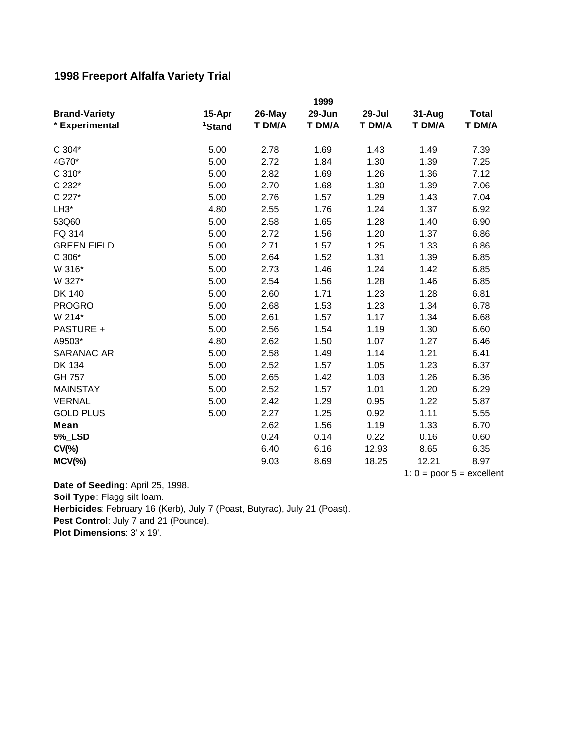## **1998 Freeport Alfalfa Variety Trial**

| 1999               |                                                                                                                                      |                                                                                                                                              |                                                                                                                                                      |                                                                                                                                              |                                                                                                                                                      |
|--------------------|--------------------------------------------------------------------------------------------------------------------------------------|----------------------------------------------------------------------------------------------------------------------------------------------|------------------------------------------------------------------------------------------------------------------------------------------------------|----------------------------------------------------------------------------------------------------------------------------------------------|------------------------------------------------------------------------------------------------------------------------------------------------------|
| 15-Apr             | 26-May                                                                                                                               | 29-Jun                                                                                                                                       | 29-Jul                                                                                                                                               | 31-Aug                                                                                                                                       | Total                                                                                                                                                |
| <sup>1</sup> Stand | T DM/A                                                                                                                               | T DM/A                                                                                                                                       | T DM/A                                                                                                                                               | T DM/A                                                                                                                                       | T DM/A                                                                                                                                               |
|                    |                                                                                                                                      |                                                                                                                                              |                                                                                                                                                      |                                                                                                                                              | 7.39                                                                                                                                                 |
|                    |                                                                                                                                      |                                                                                                                                              |                                                                                                                                                      |                                                                                                                                              | 7.25                                                                                                                                                 |
|                    |                                                                                                                                      |                                                                                                                                              |                                                                                                                                                      |                                                                                                                                              | 7.12                                                                                                                                                 |
|                    |                                                                                                                                      |                                                                                                                                              |                                                                                                                                                      |                                                                                                                                              |                                                                                                                                                      |
|                    |                                                                                                                                      |                                                                                                                                              |                                                                                                                                                      |                                                                                                                                              | 7.06                                                                                                                                                 |
|                    |                                                                                                                                      |                                                                                                                                              |                                                                                                                                                      |                                                                                                                                              | 7.04                                                                                                                                                 |
|                    |                                                                                                                                      |                                                                                                                                              |                                                                                                                                                      |                                                                                                                                              | 6.92                                                                                                                                                 |
|                    |                                                                                                                                      |                                                                                                                                              |                                                                                                                                                      |                                                                                                                                              | 6.90                                                                                                                                                 |
|                    |                                                                                                                                      |                                                                                                                                              |                                                                                                                                                      |                                                                                                                                              | 6.86                                                                                                                                                 |
|                    |                                                                                                                                      |                                                                                                                                              |                                                                                                                                                      |                                                                                                                                              | 6.86                                                                                                                                                 |
|                    |                                                                                                                                      |                                                                                                                                              |                                                                                                                                                      |                                                                                                                                              | 6.85                                                                                                                                                 |
| 5.00               | 2.73                                                                                                                                 | 1.46                                                                                                                                         | 1.24                                                                                                                                                 | 1.42                                                                                                                                         | 6.85                                                                                                                                                 |
| 5.00               | 2.54                                                                                                                                 | 1.56                                                                                                                                         | 1.28                                                                                                                                                 | 1.46                                                                                                                                         | 6.85                                                                                                                                                 |
| 5.00               | 2.60                                                                                                                                 | 1.71                                                                                                                                         | 1.23                                                                                                                                                 | 1.28                                                                                                                                         | 6.81                                                                                                                                                 |
| 5.00               | 2.68                                                                                                                                 | 1.53                                                                                                                                         | 1.23                                                                                                                                                 | 1.34                                                                                                                                         | 6.78                                                                                                                                                 |
| 5.00               | 2.61                                                                                                                                 | 1.57                                                                                                                                         | 1.17                                                                                                                                                 | 1.34                                                                                                                                         | 6.68                                                                                                                                                 |
|                    |                                                                                                                                      |                                                                                                                                              |                                                                                                                                                      |                                                                                                                                              | 6.60                                                                                                                                                 |
|                    |                                                                                                                                      |                                                                                                                                              |                                                                                                                                                      |                                                                                                                                              | 6.46                                                                                                                                                 |
|                    |                                                                                                                                      |                                                                                                                                              |                                                                                                                                                      |                                                                                                                                              | 6.41                                                                                                                                                 |
|                    |                                                                                                                                      |                                                                                                                                              |                                                                                                                                                      |                                                                                                                                              | 6.37                                                                                                                                                 |
|                    |                                                                                                                                      |                                                                                                                                              |                                                                                                                                                      |                                                                                                                                              | 6.36                                                                                                                                                 |
|                    |                                                                                                                                      |                                                                                                                                              |                                                                                                                                                      |                                                                                                                                              | 6.29                                                                                                                                                 |
|                    |                                                                                                                                      |                                                                                                                                              |                                                                                                                                                      |                                                                                                                                              | 5.87                                                                                                                                                 |
| 5.00               | 2.27                                                                                                                                 | 1.25                                                                                                                                         | 0.92                                                                                                                                                 | 1.11                                                                                                                                         | 5.55                                                                                                                                                 |
|                    |                                                                                                                                      |                                                                                                                                              |                                                                                                                                                      |                                                                                                                                              | 6.70                                                                                                                                                 |
|                    | 0.24                                                                                                                                 | 0.14                                                                                                                                         | 0.22                                                                                                                                                 | 0.16                                                                                                                                         | 0.60                                                                                                                                                 |
|                    | 6.40                                                                                                                                 |                                                                                                                                              | 12.93                                                                                                                                                |                                                                                                                                              | 6.35                                                                                                                                                 |
|                    | 9.03                                                                                                                                 | 8.69                                                                                                                                         | 18.25                                                                                                                                                | 12.21                                                                                                                                        | 8.97                                                                                                                                                 |
|                    | 5.00<br>5.00<br>5.00<br>5.00<br>5.00<br>4.80<br>5.00<br>5.00<br>5.00<br>5.00<br>5.00<br>4.80<br>5.00<br>5.00<br>5.00<br>5.00<br>5.00 | 2.78<br>2.72<br>2.82<br>2.70<br>2.76<br>2.55<br>2.58<br>2.72<br>2.71<br>2.64<br>2.56<br>2.62<br>2.58<br>2.52<br>2.65<br>2.52<br>2.42<br>2.62 | 1.69<br>1.84<br>1.69<br>1.68<br>1.57<br>1.76<br>1.65<br>1.56<br>1.57<br>1.52<br>1.54<br>1.50<br>1.49<br>1.57<br>1.42<br>1.57<br>1.29<br>1.56<br>6.16 | 1.43<br>1.30<br>1.26<br>1.30<br>1.29<br>1.24<br>1.28<br>1.20<br>1.25<br>1.31<br>1.19<br>1.07<br>1.14<br>1.05<br>1.03<br>1.01<br>0.95<br>1.19 | 1.49<br>1.39<br>1.36<br>1.39<br>1.43<br>1.37<br>1.40<br>1.37<br>1.33<br>1.39<br>1.30<br>1.27<br>1.21<br>1.23<br>1.26<br>1.20<br>1.22<br>1.33<br>8.65 |

1:  $0 =$  poor  $5 =$  excellent

Pest Control: July 7 and 21 (Pounce). **Plot Dimensions**: 3' x 19'. **Date of Seeding**: April 25, 1998. **Soil Type**: Flagg silt loam. **Herbicides**: February 16 (Kerb), July 7 (Poast, Butyrac), July 21 (Poast).